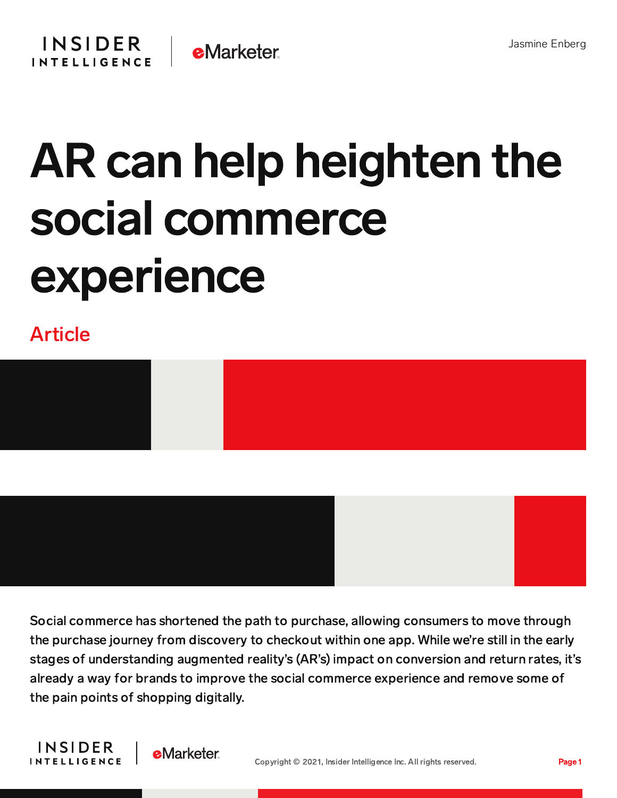

## AR can help heighten the social commerce experience

## Article



Social commerce has shortened the path to purchase, allowing consumers to move through the purchase journey from discovery to checkout within one app. While we're still in the early stages of understanding augmented reality's (AR's) impact on conversion and return rates, it's already a way for brands to improve the social commerce experience and remove some of the pain points of shopping digitally.



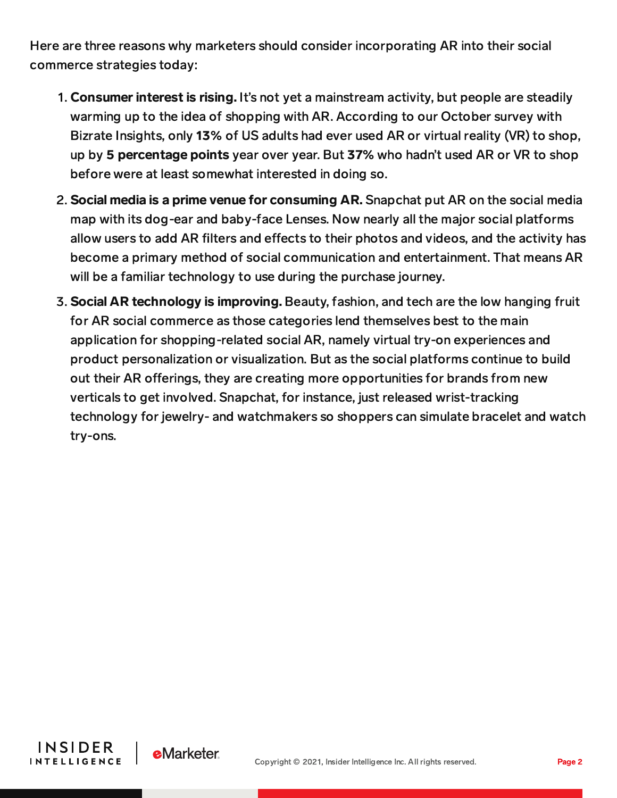Here are three reasons why marketers should consider incorporating AR into their social commerce strategies today:

- 1. Consumer interest is rising. It's not yet a mainstream activity, but people are steadily warming up to the idea of shopping with AR. According to our October survey with Bizrate Insights, only 13% of US adults had ever used AR or virtual reality (VR) to shop, up by 5 percentage points year over year. But 37% who hadn't used AR or VR to shop before were at least somewhat interested in doing so.
- 2. Social media is a prime venue for consuming AR. Snapchat put AR on the social media map with its dog-ear and baby-face Lenses. Now nearly all the major social platforms allow users to add AR filters and effects to their photos and videos, and the activity has become a primary method of social communication and entertainment. That means AR will be a familiar technology to use during the purchase journey.
- 3. Social AR technology is improving. Beauty, fashion, and tech are the low hanging fruit for AR social commerce as those categories lend themselves best to the main application for shopping-related social AR, namely virtual try-on experiences and product personalization or visualization. But as the social platforms continue to build out their AR offerings, they are creating more opportunities for brands from new verticals to get involved. Snapchat, for instance, just released wrist-tracking technology for jewelry- and watchmakers so shoppers can simulate bracelet and watch try-ons.